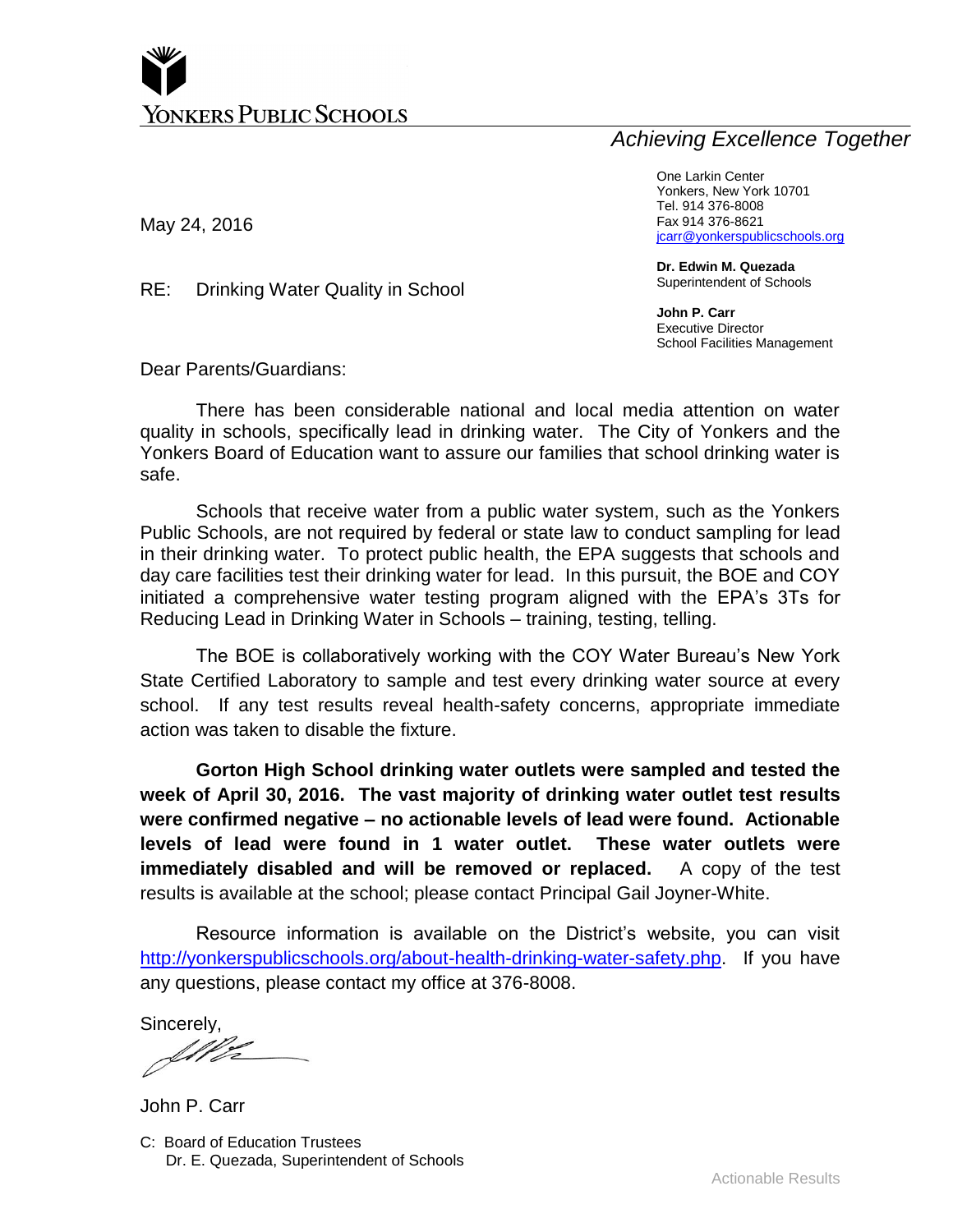# *Achieving Excellence Together*

May 24, 2016

One Larkin Center Yonkers, New York 10701 Tel. 914 376-8008 Fax 914 376-8621 [jcarr@yonkerspublicschools.org](mailto:jcarr@yonkerspublicschools.org)

**Dr. Edwin M. Quezada** Superintendent of Schools

**John P. Carr** Executive Director School Facilities Management

Dear Parents/Guardians:

RE: Drinking Water Quality in School

There has been considerable national and local media attention on water quality in schools, specifically lead in drinking water. The City of Yonkers and the Yonkers Board of Education want to assure our families that school drinking water is safe.

Schools that receive water from a public water system, such as the Yonkers Public Schools, are not required by federal or state law to conduct sampling for lead in their drinking water. To protect public health, the EPA suggests that schools and day care facilities test their drinking water for lead. In this pursuit, the BOE and COY initiated a comprehensive water testing program aligned with the EPA's 3Ts for Reducing Lead in Drinking Water in Schools – training, testing, telling.

The BOE is collaboratively working with the COY Water Bureau's New York State Certified Laboratory to sample and test every drinking water source at every school. If any test results reveal health-safety concerns, appropriate immediate action was taken to disable the fixture.

**Gorton High School drinking water outlets were sampled and tested the week of April 30, 2016. The vast majority of drinking water outlet test results were confirmed negative – no actionable levels of lead were found. Actionable levels of lead were found in 1 water outlet. These water outlets were immediately disabled and will be removed or replaced.** A copy of the test results is available at the school; please contact Principal Gail Joyner-White.

Resource information is available on the District's website, you can visit [http://yonkerspublicschools.org/about-health-drinking-water-safety.php.](http://yonkerspublicschools.org/about-health-drinking-water-safety.php) If you have any questions, please contact my office at 376-8008.

Sincerely,

C: Board of Education Trustees Dr. E. Quezada, Superintendent of Schools John P. Carr

Actionable Results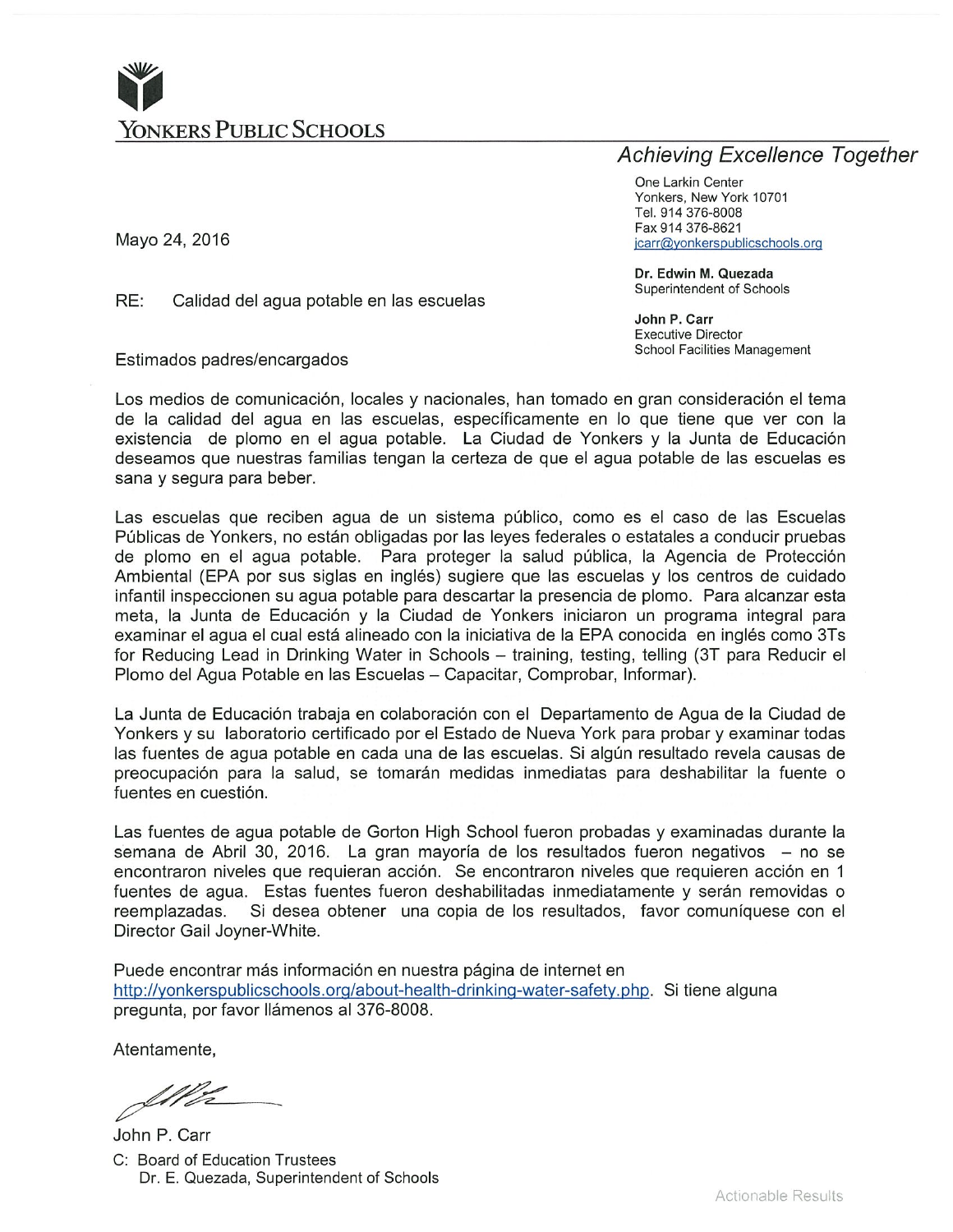

# **Achieving Excellence Together**

One Larkin Center Yonkers, New York 10701 Tel. 914 376-8008 Fax 914 376-8621 jcarr@yonkerspublicschools.org

Dr. Edwin M. Quezada Superintendent of Schools

John P. Carr **Executive Director** School Facilities Management

Mayo 24, 2016

RE: Calidad del agua potable en las escuelas

Estimados padres/encargados

Los medios de comunicación, locales y nacionales, han tomado en gran consideración el tema de la calidad del agua en las escuelas, específicamente en lo que tiene que ver con la existencia de plomo en el agua potable. La Ciudad de Yonkers y la Junta de Educación deseamos que nuestras familias tengan la certeza de que el agua potable de las escuelas es sana y segura para beber.

Las escuelas que reciben aqua de un sistema público, como es el caso de las Escuelas Públicas de Yonkers, no están obligadas por las leyes federales o estatales a conducir pruebas de plomo en el agua potable. Para proteger la salud pública, la Agencia de Protección Ambiental (EPA por sus siglas en inglés) sugiere que las escuelas y los centros de cuidado infantil inspeccionen su agua potable para descartar la presencia de plomo. Para alcanzar esta meta, la Junta de Educación y la Ciudad de Yonkers iniciaron un programa integral para examinar el agua el cual está alineado con la iniciativa de la EPA conocida en inglés como 3Ts for Reducing Lead in Drinking Water in Schools - training, testing, telling (3T para Reducir el Plomo del Agua Potable en las Escuelas - Capacitar, Comprobar, Informar).

La Junta de Educación trabaja en colaboración con el Departamento de Agua de la Ciudad de Yonkers y su laboratorio certificado por el Estado de Nueva York para probar y examinar todas las fuentes de agua potable en cada una de las escuelas. Si algún resultado revela causas de preocupación para la salud, se tomarán medidas inmediatas para deshabilitar la fuente o fuentes en cuestión.

Las fuentes de aqua potable de Gorton High School fueron probadas y examinadas durante la semana de Abril 30, 2016. La gran mayoría de los resultados fueron negativos - no se encontraron niveles que requieran acción. Se encontraron niveles que requieren acción en 1 fuentes de agua. Estas fuentes fueron deshabilitadas inmediatamente y serán removidas o reemplazadas. Si desea obtener una copia de los resultados, favor comuníquese con el Director Gail Joyner-White.

Puede encontrar más información en nuestra página de internet en http://yonkerspublicschools.org/about-health-drinking-water-safety.php. Si tiene alguna pregunta, por favor llámenos al 376-8008.

Atentamente,

Ille

John P. Carr C: Board of Education Trustees Dr. E. Quezada, Superintendent of Schools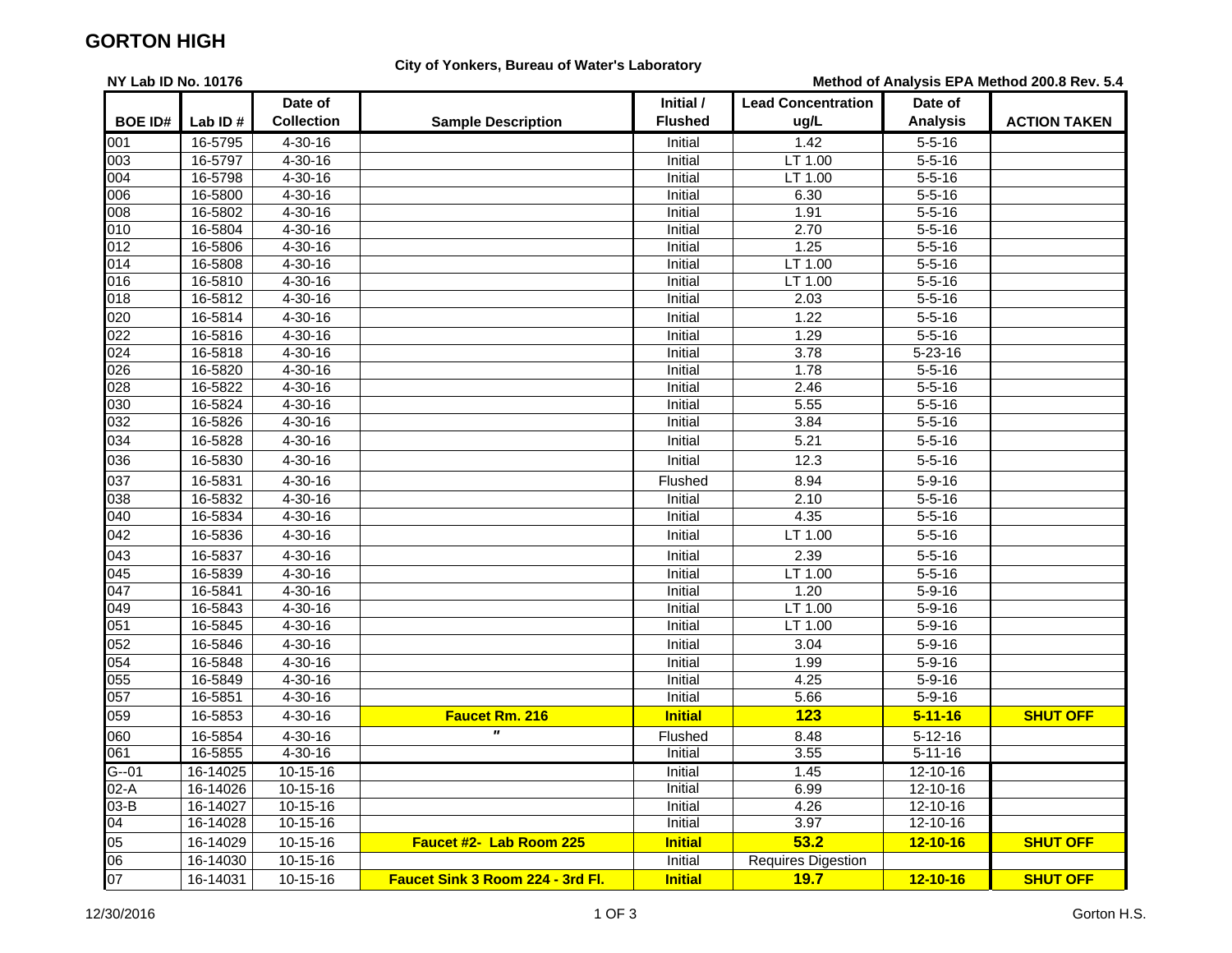## **GORTON HIGH**

**NY Lab ID No. 10176**

### **City of Yonkers, Bureau of Water's Laboratory**

**Method of Analysis EPA Method 200.8 Rev. 5.4**

|                 |          | Date of           |                                         | Initial /      | <b>Lead Concentration</b> | Date of         |                     |
|-----------------|----------|-------------------|-----------------------------------------|----------------|---------------------------|-----------------|---------------------|
| <b>BOE ID#</b>  | Lab ID#  | <b>Collection</b> | <b>Sample Description</b>               | <b>Flushed</b> | ug/L                      | <b>Analysis</b> | <b>ACTION TAKEN</b> |
| 001             | 16-5795  | $4 - 30 - 16$     |                                         | Initial        | $\frac{1.42}{0.42}$       | $5 - 5 - 16$    |                     |
| 003             | 16-5797  | $4 - 30 - 16$     |                                         | Initial        | LT 1.00                   | $5 - 5 - 16$    |                     |
| 004             | 16-5798  | $4 - 30 - 16$     |                                         | Initial        | LT 1.00                   | $5 - 5 - 16$    |                     |
| 006             | 16-5800  | $4 - 30 - 16$     |                                         | Initial        | 6.30                      | $5 - 5 - 16$    |                     |
| 008             | 16-5802  | $4 - 30 - 16$     |                                         | Initial        | 1.91                      | $5 - 5 - 16$    |                     |
| 010             | 16-5804  | $4 - 30 - 16$     |                                         | Initial        | 2.70                      | $5 - 5 - 16$    |                     |
| 012             | 16-5806  | $4 - 30 - 16$     |                                         | Initial        | 1.25                      | $5 - 5 - 16$    |                     |
| 014             | 16-5808  | $4 - 30 - 16$     |                                         | Initial        | LT 1.00                   | $5 - 5 - 16$    |                     |
| 016             | 16-5810  | $4 - 30 - 16$     |                                         | Initial        | LT 1.00                   | $5 - 5 - 16$    |                     |
| 018             | 16-5812  | $4 - 30 - 16$     |                                         | Initial        | 2.03                      | $5 - 5 - 16$    |                     |
| 020             | 16-5814  | $4 - 30 - 16$     |                                         | Initial        | 1.22                      | $5 - 5 - 16$    |                     |
| 022             | 16-5816  | 4-30-16           |                                         | Initial        | 1.29                      | $5 - 5 - 16$    |                     |
| 024             | 16-5818  | $4 - 30 - 16$     |                                         | Initial        | 3.78                      | $5 - 23 - 16$   |                     |
| 026             | 16-5820  | 4-30-16           |                                         | Initial        | 1.78                      | $5 - 5 - 16$    |                     |
| 028             | 16-5822  | $4 - 30 - 16$     |                                         | Initial        | 2.46                      | $5 - 5 - 16$    |                     |
| 030             | 16-5824  | $4 - 30 - 16$     |                                         | Initial        | 5.55                      | $5 - 5 - 16$    |                     |
| 032             | 16-5826  | $4 - 30 - 16$     |                                         | Initial        | 3.84                      | $5 - 5 - 16$    |                     |
| 034             | 16-5828  | 4-30-16           |                                         | Initial        | 5.21                      | $5 - 5 - 16$    |                     |
| 036             | 16-5830  | 4-30-16           |                                         | Initial        | 12.3                      | $5 - 5 - 16$    |                     |
| 037             | 16-5831  | $4 - 30 - 16$     |                                         | Flushed        | 8.94                      | $5 - 9 - 16$    |                     |
| 038             | 16-5832  | $4 - 30 - 16$     |                                         | Initial        | 2.10                      | $5 - 5 - 16$    |                     |
| 040             | 16-5834  | $4 - 30 - 16$     |                                         | Initial        | 4.35                      | $5 - 5 - 16$    |                     |
| 042             | 16-5836  | 4-30-16           |                                         | Initial        | LT 1.00                   | $5 - 5 - 16$    |                     |
| 043             | 16-5837  | $4 - 30 - 16$     |                                         | Initial        | 2.39                      | $5 - 5 - 16$    |                     |
| 045             | 16-5839  | $4 - 30 - 16$     |                                         | Initial        | LT 1.00                   | $5 - 5 - 16$    |                     |
| 047             | 16-5841  | $4 - 30 - 16$     |                                         | Initial        | 1.20                      | $5 - 9 - 16$    |                     |
| 049             | 16-5843  | $4 - 30 - 16$     |                                         | Initial        | LT 1.00                   | $5 - 9 - 16$    |                     |
| 051             | 16-5845  | $4 - 30 - 16$     |                                         | Initial        | LT 1.00                   | $5 - 9 - 16$    |                     |
| 052             | 16-5846  | 4-30-16           |                                         | Initial        | 3.04                      | $5 - 9 - 16$    |                     |
| 054             | 16-5848  | 4-30-16           |                                         | Initial        | 1.99                      | $5 - 9 - 16$    |                     |
| 055             | 16-5849  | $4 - 30 - 16$     |                                         | Initial        | 4.25                      | $5 - 9 - 16$    |                     |
| 057             | 16-5851  | $4 - 30 - 16$     |                                         | Initial        | 5.66                      | $5 - 9 - 16$    |                     |
| 059             | 16-5853  | $4 - 30 - 16$     | Faucet Rm. 216                          | <b>Initial</b> | 123                       | $5 - 11 - 16$   | <b>SHUT OFF</b>     |
| 060             | 16-5854  | 4-30-16           | $\pmb{\mathsf{H}}$                      | Flushed        | 8.48                      | $5 - 12 - 16$   |                     |
| 061             | 16-5855  | $4 - 30 - 16$     |                                         | Initial        | 3.55                      | $5 - 11 - 16$   |                     |
| $G - 01$        | 16-14025 | $10 - 15 - 16$    |                                         | Initial        | 1.45                      | $12 - 10 - 16$  |                     |
| $02-A$          | 16-14026 | 10-15-16          |                                         | Initial        | 6.99                      | 12-10-16        |                     |
| $03-B$          | 16-14027 | $10-15-16$        |                                         | Initial        | 4.26                      | $12 - 10 - 16$  |                     |
| $\overline{04}$ | 16-14028 | $10 - 15 - 16$    |                                         | Initial        | 3.97                      | $12 - 10 - 16$  |                     |
| 05              | 16-14029 | $10 - 15 - 16$    | Faucet #2- Lab Room 225                 | <b>Initial</b> | 53.2                      | $12 - 10 - 16$  | <b>SHUT OFF</b>     |
| $\overline{00}$ | 16-14030 | $10 - 15 - 16$    |                                         | Initial        | <b>Requires Digestion</b> |                 |                     |
| 07              | 16-14031 | 10-15-16          | <b>Faucet Sink 3 Room 224 - 3rd Fl.</b> | <b>Initial</b> | 19.7                      | $12 - 10 - 16$  | <b>SHUT OFF</b>     |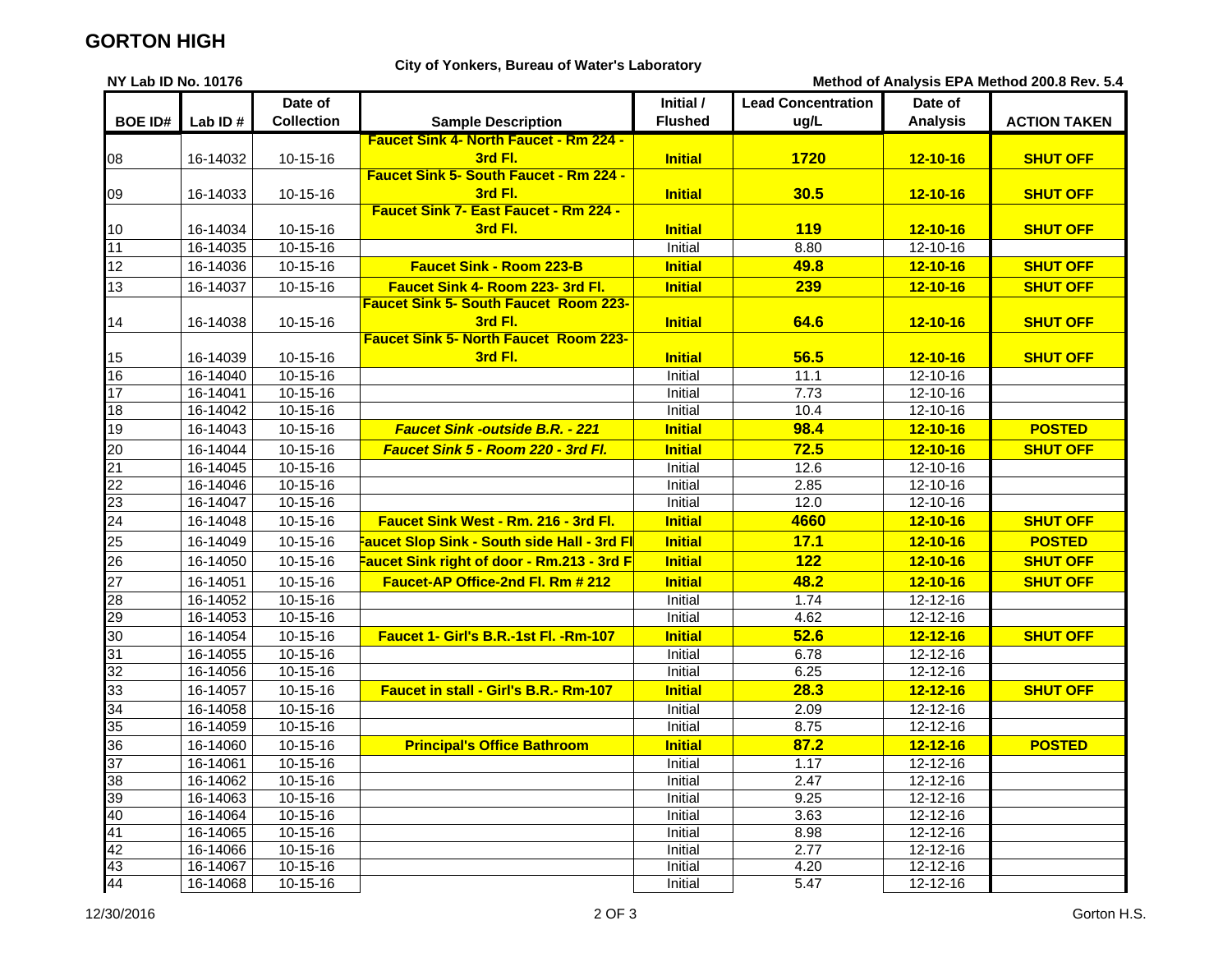## **GORTON HIGH**

### **City of Yonkers, Bureau of Water's Laboratory**

**NY Lab ID No. 10176**

| Method of Analysis EPA Method 200.8 Rev. 5.4 |  |  |  |  |  |  |
|----------------------------------------------|--|--|--|--|--|--|
|----------------------------------------------|--|--|--|--|--|--|

|                 |          | Date of           |                                                          | Initial /      | <b>Lead Concentration</b> | Date of         |                     |
|-----------------|----------|-------------------|----------------------------------------------------------|----------------|---------------------------|-----------------|---------------------|
| <b>BOE ID#</b>  | Lab ID#  | <b>Collection</b> | <b>Sample Description</b>                                | <b>Flushed</b> | ug/L                      | <b>Analysis</b> | <b>ACTION TAKEN</b> |
|                 |          |                   | <b>Faucet Sink 4- North Faucet - Rm 224 -</b>            |                |                           |                 |                     |
| 08              | 16-14032 | 10-15-16          | 3rd Fl.                                                  | <b>Initial</b> | 1720                      | $12 - 10 - 16$  | <b>SHUT OFF</b>     |
|                 |          |                   | <b>Faucet Sink 5- South Faucet - Rm 224 -</b>            |                |                           |                 |                     |
| 09              | 16-14033 | 10-15-16          | 3rd Fl.                                                  | <b>Initial</b> | 30.5                      | $12 - 10 - 16$  | <b>SHUT OFF</b>     |
|                 |          |                   | Faucet Sink 7- East Faucet - Rm 224 -                    |                |                           |                 |                     |
| 10              | 16-14034 | $10 - 15 - 16$    | 3rd Fl.                                                  | <b>Initial</b> | <b>119</b>                | $12 - 10 - 16$  | <b>SHUT OFF</b>     |
| 11              | 16-14035 | $10-15-16$        |                                                          | Initial        | 8.80                      | 12-10-16        |                     |
| 12              | 16-14036 | $10 - 15 - 16$    | <b>Faucet Sink - Room 223-B</b>                          | <b>Initial</b> | 49.8                      | $12 - 10 - 16$  | <b>SHUT OFF</b>     |
| 13              | 16-14037 | 10-15-16          | <b>Faucet Sink 4- Room 223-3rd Fl.</b>                   | <b>Initial</b> | 239                       | $12 - 10 - 16$  | <b>SHUT OFF</b>     |
|                 |          |                   | <b>Faucet Sink 5- South Faucet Room 223-</b>             |                |                           |                 |                     |
| 14              | 16-14038 | 10-15-16          | 3rd Fl.                                                  | <b>Initial</b> | 64.6                      | $12 - 10 - 16$  | <b>SHUT OFF</b>     |
|                 |          |                   | <b>Faucet Sink 5- North Faucet Room 223-</b>             |                |                           |                 |                     |
| 15              | 16-14039 | 10-15-16          | 3rd Fl.                                                  | <b>Initial</b> | 56.5                      | $12 - 10 - 16$  | <b>SHUT OFF</b>     |
| 16              | 16-14040 | 10-15-16          |                                                          | Initial        | 11.1                      | 12-10-16        |                     |
| 17              | 16-14041 | $10-15-16$        |                                                          | Initial        | 7.73                      | 12-10-16        |                     |
| 18              | 16-14042 | 10-15-16          |                                                          | Initial        | 10.4                      | 12-10-16        |                     |
| 19              | 16-14043 | $10 - 15 - 16$    | Faucet Sink -outside B.R. - 221                          | <b>Initial</b> | 98.4                      | $12 - 10 - 16$  | <b>POSTED</b>       |
| 20              | 16-14044 | 10-15-16          | <b>Faucet Sink 5 - Room 220 - 3rd Fl.</b>                | <b>Initial</b> | 72.5                      | $12 - 10 - 16$  | <b>SHUT OFF</b>     |
| 21              | 16-14045 | 10-15-16          |                                                          | Initial        | 12.6                      | 12-10-16        |                     |
| $\overline{22}$ | 16-14046 | 10-15-16          |                                                          | Initial        | 2.85                      | 12-10-16        |                     |
| $\overline{23}$ | 16-14047 | $10-15-16$        |                                                          | Initial        | 12.0                      | $12 - 10 - 16$  |                     |
| 24              | 16-14048 | 10-15-16          | Faucet Sink West - Rm. 216 - 3rd Fl.                     | <b>Initial</b> | 4660                      | $12 - 10 - 16$  | <b>SHUT OFF</b>     |
| 25              | 16-14049 | $10-15-16$        | <mark>Faucet Slop Sink - South side Hall - 3rd Fl</mark> | <b>Initial</b> | 17.1                      | $12 - 10 - 16$  | <b>POSTED</b>       |
| 26              | 16-14050 | 10-15-16          | Faucet Sink right of door - Rm.213 - 3rd F               | <b>Initial</b> | 122                       | $12 - 10 - 16$  | <b>SHUT OFF</b>     |
| 27              | 16-14051 | 10-15-16          | Faucet-AP Office-2nd Fl. Rm # 212                        | <b>Initial</b> | 48.2                      | $12 - 10 - 16$  | <b>SHUT OFF</b>     |
| 28              | 16-14052 | $10-15-16$        |                                                          | Initial        | 1.74                      | 12-12-16        |                     |
| 29              | 16-14053 | 10-15-16          |                                                          | Initial        | 4.62                      | 12-12-16        |                     |
| 30              | 16-14054 | 10-15-16          | Faucet 1- Girl's B.R.-1st Fl. - Rm-107                   | <b>Initial</b> | 52.6                      | $12 - 12 - 16$  | <b>SHUT OFF</b>     |
| 31              | 16-14055 | $10-15-16$        |                                                          | Initial        | 6.78                      | $12 - 12 - 16$  |                     |
| 32              | 16-14056 | 10-15-16          |                                                          | Initial        | 6.25                      | 12-12-16        |                     |
| 33              | 16-14057 | 10-15-16          | <b>Faucet in stall - Girl's B.R.- Rm-107</b>             | <b>Initial</b> | 28.3                      | $12 - 12 - 16$  | <b>SHUT OFF</b>     |
| 34              | 16-14058 | 10-15-16          |                                                          | Initial        | 2.09                      | 12-12-16        |                     |
| 35              | 16-14059 | $10 - 15 - 16$    |                                                          | Initial        | 8.75                      | $12 - 12 - 16$  |                     |
| 36              | 16-14060 | $10 - 15 - 16$    | <b>Principal's Office Bathroom</b>                       | <b>Initial</b> | 87.2                      | $12 - 12 - 16$  | <b>POSTED</b>       |
| $\overline{37}$ | 16-14061 | $10 - 15 - 16$    |                                                          | Initial        | 1.17                      | $12 - 12 - 16$  |                     |
| 38              | 16-14062 | $10 - 15 - 16$    |                                                          | Initial        | 2.47                      | 12-12-16        |                     |
| 39              | 16-14063 | 10-15-16          |                                                          | Initial        | 9.25                      | 12-12-16        |                     |
| 40              | 16-14064 | $10-15-16$        |                                                          | Initial        | 3.63                      | 12-12-16        |                     |
| 41              | 16-14065 | $10-15-16$        |                                                          | Initial        | 8.98                      | $12 - 12 - 16$  |                     |
| 42              | 16-14066 | $10 - 15 - 16$    |                                                          | Initial        | 2.77                      | $12 - 12 - 16$  |                     |
| 43              | 16-14067 | 10-15-16          |                                                          | Initial        | 4.20                      | 12-12-16        |                     |
| 44              | 16-14068 | 10-15-16          |                                                          | Initial        | 5.47                      | 12-12-16        |                     |